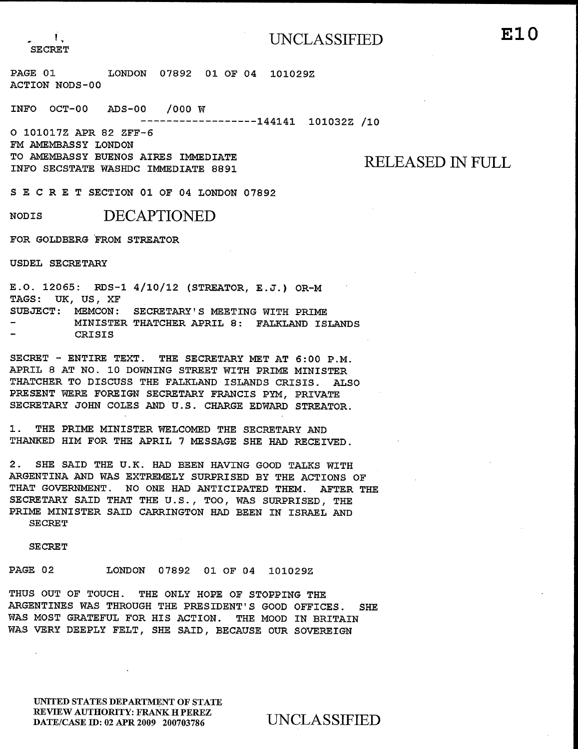ACTION NODS-00

------------------144141 101032Z /10 ACTION NODS-00

INFO  $OCT-00$  ADS-00 /000 W

PAGE 01 LONDON 07892 01 OF 04 1010292

-----------------144141 101032Z /10

O 101017Z APR 82 ZFF-6 FM AMEMBASSY LONDON DE ANDRE IO AMEMBASSI BULNOS AIR INFO SECSTATE WASHDC IMMEDIATE 8891

RELEASED IN FULL

SECRET SECTION 01 OF 04 LONDON 07892

NODIS DECAPTIONED

FOR GOLDBERG FROM STREATOR APRIL 8 AT NO. 10 DOWNING STREET WITH PRIME MINISTER

USDEL SECRETARY PRESENT WERE FOREIGN SECRETARY FRANCIS PYM, PRIVATE

SECRETARY JOHN COLES AND U.S. CHARGE EDWARD STREATOR.  $1.0.12003$ . KUSTI $4/10/12$  (STREATOR, E. TAGS: UK, US, XF SUBJECT: MEMCON: SECRETARY'S MEETING WITH PRIME MINISTER THATCHER APRIL 8: FALKLAND ISLANDS CRISIS

SECRET - ENTIRE TEXT. THE SECRETARY MET AT 6:00 P.M. APRIL 8 AT NO. 10 DOWNING STREET WITH PRIME MINISTER THATCHER TO DISCUSS THE FALKLAND ISLANDS CRISIS. ALSO PRESENT WERE FOREIGN SECRETARY FRANCIS PYM, PRIVATE THUS OUT OF TOULERS AND HIS CHARGE THE OUT OF STOPPING THE OUT OF STOPPING THE OUT OF STOPPING THE OUT OF STOPPING THE OUT OF STOPPING THE OUT OF STOPPING THE OUT OF STOPPING THE OUT OF STOPPING THE OUT OF STOPPING THE OUT ARGENTINGS WAS THROUGH THROUGH THROUGH THE PRESIDENT'S GOOD OF THE PRESIDENT'S GOOD OF THE PRESIDENT OF THE PRESIDENT OF THE PRESIDENT OF THE PRESIDENT OF THE PRESIDENT OF THE PRESIDENT OF THE PRESIDENT OF THE PRESIDENT OF

WAS MOST GRAPES OF HIS ACTION. THE MOST CONTINUES. WAS THE FRING MINISTER WELCOMED THE SECRETAL THANKED HIM FOR THE APRIL 7 MESSAGE SHE HAD RECEIVED.

2. SHE SAID THE U.K. HAD BEEN HAVING GOOD TALKS WITH ARGENTINA AND WAS EXTREMELY SURPRISED BY THE ACTIONS OF THAT GOVERNMENT. NO ONE HAD ANTICIPATED THEM. AFTER THE SECRETARY SAID THAT THE U.S., TOO, WAS SURPRISED, THE PRIME MINISTER SAID CARRINGTON HAD BEEN IN ISRAEL AND **SECRET** 

**SECRET** 

PAGE 02 LONDON 07892 01 OF 04 101029Z

THUS OUT OF TOUCH. THE ONLY HOPE OF STOPPING THE ARGENTINES WAS THROUGH THE PRESIDENT'S GOOD OFFICES. **SHF** WAS MOST GRATEFUL FOR HIS ACTION. THE MOOD IN BRITAIN WAS VERY DEEPLY FELT, SHE SAID, BECAUSE OUR SOVEREIGN

UNITED STATES DEPARTMENT OF STATE REVIEW AUTHORITY: FRANK H PEREZ DATE/CASE ID: 02 APR 2009 200703786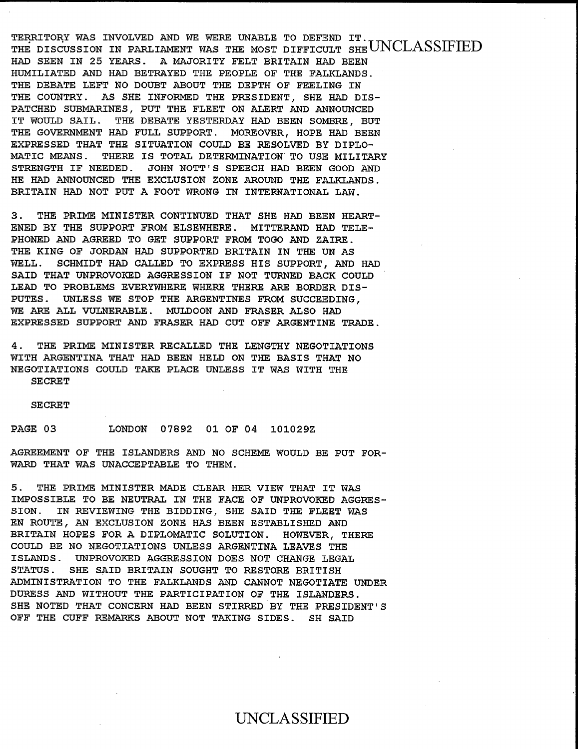TERRITORY WAS INVOLVED AND WE WERE UNABLE TO DEFEND IT. HERRITORI WAS INVOLVED AND WE WERE ONABLE : THE DISCUSSION IN PARLIAMENT WAS THE MOST DIFFI HAD SEEN IN 25 YEARS. A MAJORITY FELT BRITAIN HAD BEEN HUMILIATED AND HAD BETRAYED THE PEOPLE OF THE FALKLANDS. THE DEBATE LEFT NO DOUBT ABOUT THE DEPTH OF FEELING IN THE COUNTRY. AS SHE INFORMED THE PRESIDENT, SHE HAD DIS-PATCHED SUBMARINES, PUT THE FLEET ON ALERT AND ANNOUNCED IT WOULD SAIL. THE DEBATE YESTERDAY HAD BEEN SOMBRE, BUT THE GOVERNMENT HAD FULL SUPPORT. MOREOVER, HOPE HAD BEEN EXPRESSED THAT THE SITUATION COULD BE RESOLVED BY DIPLO-HAD AND ANNOUNCED THE TAURANT DIRECTION AND THE FALKLANDS.<br>HAD AND ANNOUNCED THE EXTRACTION OVOID DE AROUND DIRECT BRITAIN HAD NOT PUT A FOOT WRONG IN INTERNATIONAL LAW. STRENGTH IF NEEDED. JOHN NOTT'S SPEECH HAD BEEN GOOD AND HE HAD ANNOUNCED THE EXCLUSION ZONE AROUND THE FALKLANDS. BRITAIN HAD NOT PUT A FOOT WRONG IN INTERNATIONAL LAW.

3. THE PRIME MINISTER CONTINUED THAT SHE HAD BEEN HEART-ENED BY THE SUPPORT FROM ELSEWHERE. MITTERAND HAD TELE-PHONED AND AGREED TO GET SUPPORT FROM TOGO AND ZAIRE. THE KING OF JORDAN HAD SUPPORTED BRITAIN IN THE UN AS WELL. SCHMIDT HAD CALLED TO EXPRESS HIS SUPPORT, AND HAD SAID THAT UNPROVOKED AGGRESSION IF NOT TURNED BACK COULD 44. THE PROPER'S THEFT DIRECT DATA AND ARREST WITH IV FRUDDENG BYERIWHERE WHERE INERE <del>ARE E</del><br>https://witherald.com/state/with/with-that that that the basis that interesting that the basis that interesting PUTES. UNLESS WE STOP THE ARGENTINES FROM SUCCEEDING, WE ARE ALL VULNERABLE. MULDOON AND FRASER ALSO HAD EXPRESSED SUPPORT AND FRASER HAD CUT OFF ARGENTINE TRADE.

4. THE PRIME MINISTER RECALLED THE LENGTHY NEGOTIATIONS WITH ARGENTINA THAT HAD BEEN HELD ON THE BASIS THAT NO NEGOTIATIONS COULD TAKE PLACE UNLESS IT WAS WITH THE SECRET

EN ROUTE, AN EXCLUSION ZONE HAS BEEN ESTABLISHED AND BRITAIN HOPES FOR A DIPLOMATIC SOLUTION. HOPES FOR A DIPLOMATIC SOLUTION OF THE STATE SOLUTION. HOWEVER, THERE

COULD BE NO NEGOTIATIONS UNLESS ARGENTINA LEAVES THE ISLANDS. UNDER AGGRESSION DOES NOT CHANGE LOTOS

SION. IN REVIEWING THE BIDDING, SHE SAID THE FLEET WAS

STATUS. SHE SAID BRITAIN SOUGHT TO RESTORE BRITISH AGREEMENT OF THE ISLANDERS AND NO SCHEME WOULD BE WARD THAT WAS UNACCEPTABLE TO THEM.

5. THE PRIME MINISTER MADE CLEAR HER VIEW THAT IT WAS IMPOSSIBLE TO BE NEUTRAL IN THE FACE OF UNPROVOKED AGGRES-SION. IN REVIEWING THE BIDDING, SHE SAID THE FLEET WAS EN ROUTE, AN EXCLUSION ZONE HAS BEEN ESTABLISHED AND BRITAIN HOPES FOR A DIPLOMATIC SOLUTION. HOWEVER, THERE COULD BE NO NEGOTIATIONS UNLESS ARGENTINA LEAVES THE ISLANDS. UNPROVOKED AGGRESSION DOES NOT CHANGE LEGAL **STATUS.** SHE SAID BRITAIN SOUGHT TO RESTORE BRITISH ADMINISTRATION TO THE FALKLANDS AND CANNOT NEGOTIATE UNDER DURESS AND WITHOUT THE PARTICIPATION OF THE ISLANDERS. SHE NOTED THAT CONCERN HAD BEEN STIRRED BY THE PRESIDENT'S OFF THE CUFF REMARKS ABOUT NOT TAKING SIDES. SH SAID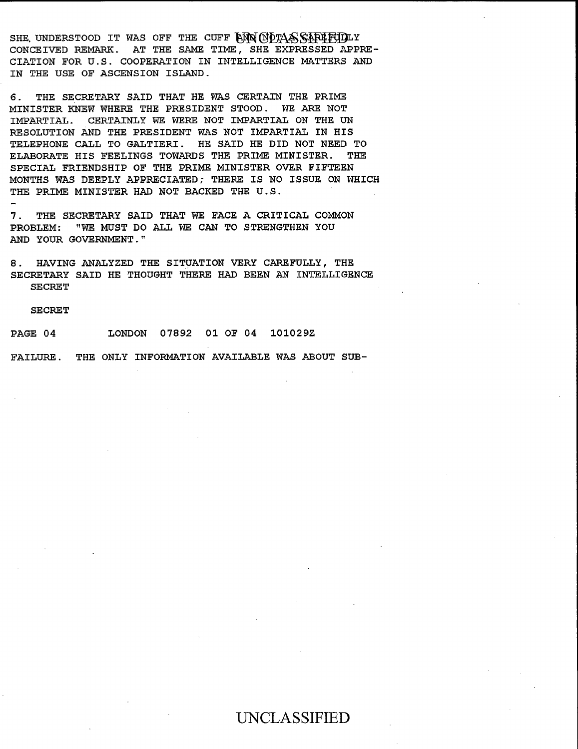CONCEIVED REMARKS. AT THE SAME TIME, SHE EXPERIMENT APPREN SHE UNDERSTOOD IT WAS OFF THE CUFF BUN UPPASS CONCEIVED REMARK. AT THE SAME TIME, SHE EXPRESSED APPRE-CIATION FOR U.S. COOPERATION IN INTELLIGENCE MATTERS AND IN THE USE OF ASCENSION ISLAND.

6. THE SECRETARY SAID THAT HE WAS CERTAIN THE PRIME MINISTER KNEW WHERE THE PRESIDENT STOOD. WE ARE NOT IMPARTIAL. CERTAINLY WE WERE NOT IMPARTIAL ON THE UN RESOLUTION AND THE PRESIDENT WAS NOT IMPARTIAL IN HIS TELEPHONE CALL TO GALTIERI. HE SAID HE DID NOT NEED TO ELABORATE HIS FEELINGS TOWARDS THE PRIME MINISTER. THE 7. THE SECRETARY SAID THAT SAID THAT WE FALL A CRITICAL COMMON SAID THAT WE FALL A CRITICAL COMMON SAID THAT W<br>The Secretary Said That we have a critical common said that we have a critical common said that we have a commo PROTECT PRIEMDENTE OF THE PRIME MINISTER ( MONTHS WAS DEEPLY APPRECIATED; THERE IS NO ISSUE ON WHICH THE PRIME MINISTER HAD NOT BACKED THE U.S.

7. THE SECRETARY SAID THAT WE FACE A CRITICAL COMMON "WE MUST DO ALL WE CAN TO STRENGTHEN YOU PROBLEM: AND YOUR GOVERNMENT."

SECRETARY SAID HE THOUGHT THERE HAD BEEN AN INTELLIGENCE

8. HAVING ANALYZED THE SITUATION VERY CAREFULLY, THE SECRETARY SAID HE THOUGHT THERE HAD BEEN AN INTELLIGENCE **SECRET** 

### **SECRET**

07892 01 OF 04 101029Z PAGE 04 LONDON

FAILURE. THE ONLY INFORMATION AVAILABLE WAS ABOUT SUB-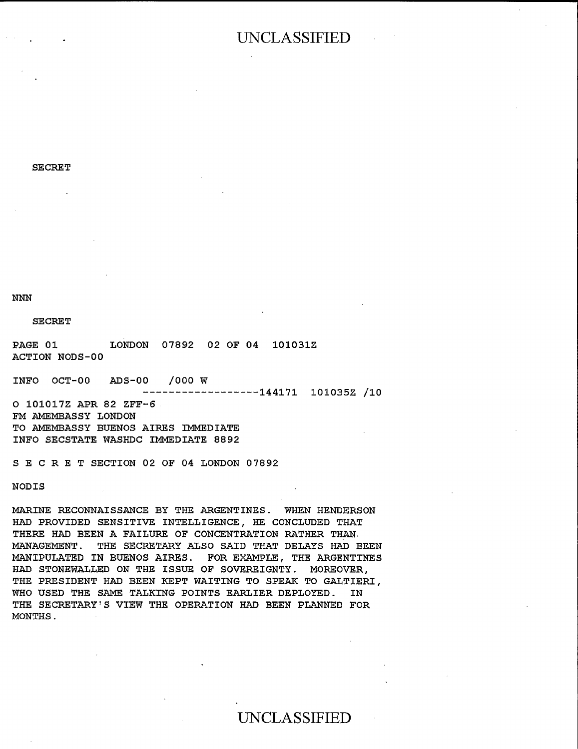$\alpha$  70  $\alpha$   $\alpha$   $\alpha$   $\alpha$   $\alpha$   $\alpha$ SECRET<sub>1</sub>

THE PRESIDENT HAD BEEN KEPT WAITING TO SPEAK TO GALTIERI, WHEN USED TALKING POINTS EARLY IN THE SAME TALKING POINTS EARLY IN THE SAME TALKING POINTS EARLY IN THE SAME T

NNN

LONDON

THE SECRETARY SECRETARY SECRETARY SUPERION HAD BEEN PLANNED FOR DESCRIPTION HAD BEEN PLANNED FOR DESCRIPTION H SECRET

LONDON 07892 02 OF 04 101031Z ACTION NODS-00

HAD PROVIDED SENSITIVE INTELLIGENCE, HE CONCLUDED THAT

ADS-00 /000 W INFO OCT-00

INFO SECSTATE WASHDC IMMEDIATE 8892

 $-----------144171$  101035Z /10

O 101017Z APR 82 ZFF-6 FM AMEMBASSY LONDON TO AMEMBASSY BUENOS AIRES IMMEDIATE INFO SECSTATE WASHDC IMMEDIATE 8892

S E C R E T SECTION 02 OF 04 LONDON 07892

**NODIS** 

MARINE RECONNAISSANCE BY THE ARGENTINES. WHEN HENDERSON HAD PROVIDED SENSITIVE INTELLIGENCE, HE CONCLUDED THAT THERE HAD BEEN A FAILURE OF CONCENTRATION RATHER THAN. MANAGEMENT. THE SECRETARY ALSO SAID THAT DELAYS HAD BEEN MANIPULATED IN BUENOS AIRES. FOR EXAMPLE, THE ARGENTINES HAD STONEWALLED ON THE ISSUE OF SOVEREIGNTY. MOREOVER. THE PRESIDENT HAD BEEN KEPT WAITING TO SPEAK TO GALTIERI, WHO USED THE SAME TALKING POINTS EARLIER DEPLOYED. IN THE SECRETARY'S VIEW THE OPERATION HAD BEEN PLANNED FOR MONTHS.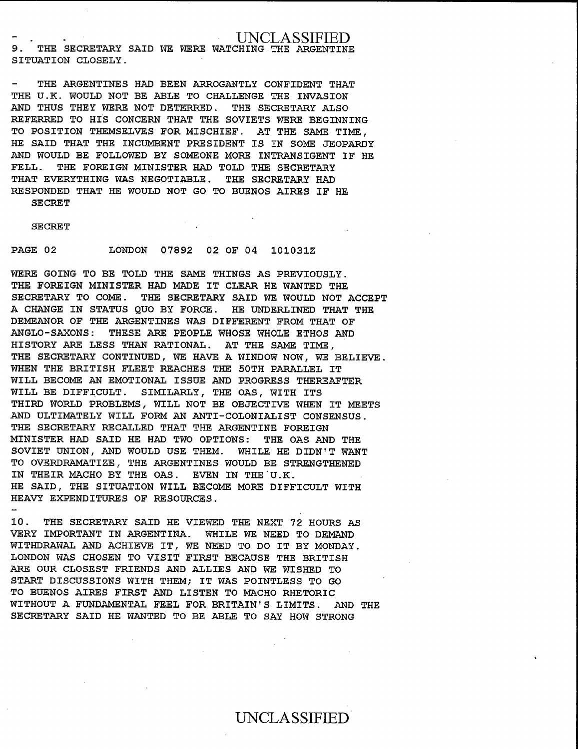SITUATION CLOSELY. 9. THE SECRETARY SAID WE WERE WATCHING THE SITUATION CLOSELY.

9. THE SECRETARY SAID WE WERE WATCHING THE ARGENTINE

THE ARGENTINES HAD BEEN ARROGANTLY CONFIDENT THAT THE U.K. WOULD NOT BE ABLE TO CHALLENGE THE INVASION AND THUS THEY WERE NOT DETERRED. THE SECRETARY ALSO REFERRED TO HIS CONCERN THAT THE SOVIETS WERE BEGINNING TO POSITION THEMSELVES FOR MISCHIEF. AT THE SAME TIME. HE SAID THAT THE INCUMBENT PRESIDENT IS IN SOME JEOPARDY AND WOULD BE FOLLOWED BY SOMEONE MORE INTRANSIGENT IF HE  $\frac{1}{2}$  $\frac{1}{2}$ THE FOREIGN MINISTER HAD TOLD THE SECRETARY SECRE.<br>Secret THAT EVERYTHING WAS NEGOTIABLE. THE SECRETARY HAD RESPONDED THAT HE WOULD NOT GO TO BUENOS AIRES IF HE SECRET SE GRETIGN MINISTER HAD MADE IT CLEAR HAD MADE IT CLEAR HAD MADE IT CLEAR HAD MADE IT CLEAR HAD MADE IT CLEAR H

SE CRET

UNCLASSIFIED CONTINUES.

ANGLO-SAXONS: THESE ARE PEOPLE WHOSE WHOLE ETHOS AND

DEMEANOR OF THE ARGENTINES WAS DIFFERENT FROM THAT OF

 $S_{\rm eff}$  to come  $\sim$  the secretary said we would not accept to  $\sim$ 

WERE GOING TO BE TOLD THE SAME THINGS AS PREVIOUSLY. THE FOREIGN MINISTER HAD MADE IT CLEAR HE WANTED THE WILL BECAUSING AN ENTIGATION IN THE CONSIGNATION IS USED.<br>CEORETARY IS ON A CONSIGNITY AND PROGRESS OF STATE AND LIGHT WILL BE DIFFICULT BE DIFFICULT BE DIFFICULT BE DIFFICULT BE DIFFICULT BE DIFFICULT BE DIFFICULT BE DIFFICULT B<br>In the other passenger of the passenger of the passenger of the passenger of the passenger of the passenger of A CHANGE IN STATUS QUO BY FORCE. HE UNDERLINED THAT THE DEMEANOR OF THE ARGENTINES WAS DIFFERENT FROM THAT OF ANGLO-SAXONS: THESE ARE PEOPLE WHOSE WHOLE ETHOS AND HISTORY ARE LESS THAN RATIONAL. AT THE SAME TIME, THE SECRETARY CONTINUED, WE HAVE A WINDOW NOW, WE BELIEVE. WHEN THE BRITISH FLEET REACHES THE 50TH PARALLEL IT WILL BECOME AN EMOTIONAL ISSUE AND PROGRESS THEREAFTER WILL BE DIFFICULT. SIMILARLY, THE OAS, WITH ITS THIRD WORLD PROBLEMS, WILL NOT BE OBJECTIVE WHEN IT MEETS AND ULTIMATELY WILL FORM AN ANTI-COLONIALIST CONSENSUS. THE SECRETARY RECALLED THAT THE ARGENTINE FOREIGN WITHDRAWAL AND ACHIEVE ITHI ITH ANDENIITH FOR<br>WINTAWAD USD ASID UU USD WUO ODWIQUA WUU QA DONATH WAS CHOSEN TO VISIT FIRST BECAUSE THE BRITISH STATE THE BRITISH BECAUSE THE BRITISH BECAUSE THE BRITISH<br>Donath was chosen to the british because the british because the british because the british because the briti SOVIET UNION, AND WOULD USE THEM. WHILE HE DIDN'T WANT TO OVERDRAMATIZE, THE ARGENTINES WOULD BE STRENGTHENED IN THEIR MACHO BY THE OAS. EVEN IN THE U.K. HE SAID, THE SITUATION WILL BECOME MORE DIFFICULT WITH HEAVY EXPENDITURES OF RESOURCES.

10. THE SECRETARY SAID HE VIEWED THE NEXT 72 HOURS AS VERY IMPORTANT IN ARGENTINA. WHILE WE NEED TO DEMAND WITHDRAWAL AND ACHIEVE IT, WE NEED TO DO IT BY MONDAY. LONDON WAS CHOSEN TO VISIT FIRST BECAUSE THE BRITISH ARE OUR CLOSEST FRIENDS AND ALLIES AND WE WISHED TO START DISCUSSIONS WITH THEM; IT WAS POINTLESS TO GO TO BUENOS AIRES FIRST AND LISTEN TO MACHO RHETORIC WITHOUT A FUNDAMENTAL FEEL FOR BRITAIN'S LIMITS. AND THE SECRETARY SAID HE WANTED TO BE ABLE TO SAY HOW STRONG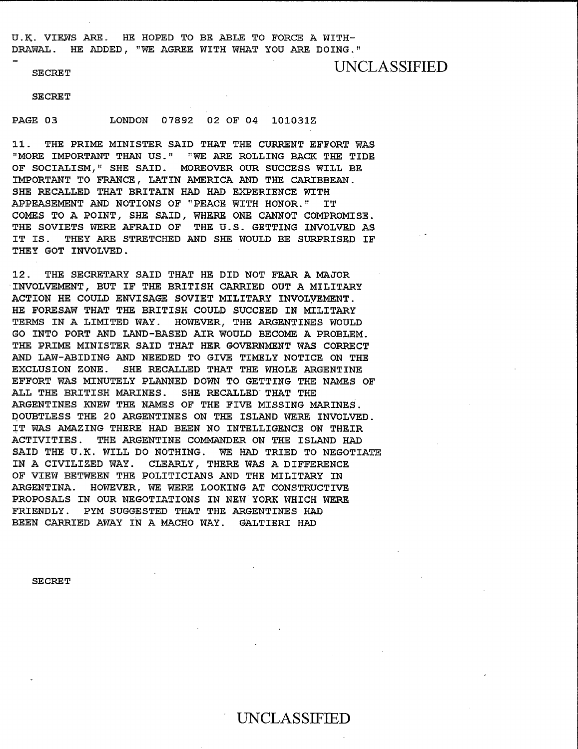SECRET

PAGE 03 LONDON 07892 02 OF 04 101031Z

SECRET

IMPORTANT TO FRANCE, LATIN AMERICA AND THE CARIBBEAN.

 $U_{\rm eff}$  is a mass  $V_{\rm eff}$  in the Hoped To  $E_{\rm eff}$  and  $E_{\rm eff}$  are  $E_{\rm eff}$  and  $E_{\rm eff}$ 

11. THE PRIME MINISTER SAID THAT THE CURRENT EFFORT WAS COMES TO A POINT WHERE TO A POINT COMPROMISE.<br>COMPANY TO A POINT COMPANY OF COMPANY COMPANY COMPANY COMPANY COMPANY COMPANY COMPANY COMPANY COMPANY COMPANY THE SOUTHERN AFRAID OF THE SOUTHERN AFRAID OF THE U.S. GETTING INVOLVED AFRAID OF THE U.S. GETTING INVOLVED A<br>The Southern Company of The U.S. Getting and the U.S. Getting and the U.S. Getting and December 2014 and Decem OF SOCIALISM," SHE SAID. MOREOVER OUR SUCCESS WILL BE IMPORTANT TO FRANCE, LATIN AMERICA AND THE CARIBBEAN. SHE RECALLED THAT BRITAIN HAD HAD EXPERIENCE WITH APPEASEMENT AND NOTIONS OF "PEACE WITH HONOR." IT COMES TO A POINT, SHE SAID, WHERE ONE CANNOT COMPROMISE. THE SOVIETS WERE AFRAID OF THE U.S. GETTING INVOLVED AS IT IS. THEY ARE STRETCHED AND SHE WOULD BE SURPRISED IF THEY GOT INVOLVED. The Prime  $\mathcal{L}_\text{max}$  and the Prime minister said that her government was corrected was corrected was corrected was corrected was considered was considered was considered was considered was considered was considered was

12. THE SECRETARY SAID THAT HE DID NOT FEAR A MAJOR EXT. THE DEOCRTISCH DAID THAT HE DID NOT IEAR<br>EXTINGIVER DIE THE BUB DRIMINE ARDIVER AND 3 EFFORT WAS GETTING TO GETTING TO GETTING THE NAMES OF THE TOP OF THE NAMES OF THE NAMES OF THE NAMES OF THE NAMES OF THE NAMES OF THE NAMES OF THE NAMES OF THE NAMES OF THE STATE OF THE NAMES OF THE STATE OF THE STATE OF T ACTION HE COULD ENVISAGE SOVIET MILITARY INVOLVEMENT. HE FORESAW THAT THE BRITISH COULD SUCCEED IN MILITARY TERMS IN A LIMITED WAY. HOWEVER, THE ARGENTINES WOULD GO INTO PORT AND LAND-BASED AIR WOULD BECOME A PROBLEM. THE PRIME MINISTER SAID THAT HER GOVERNMENT WAS CORRECT AND LAW-ABIDING AND NEEDED TO GIVE TIMELY NOTICE ON THE EXCLUSION ZONE. SHE RECALLED THAT THE WHOLE ARGENTINE EFFORT WAS MINUTELY PLANNED DOWN TO GETTING THE NAMES OF ALL THE BRITISH MARINES. SHE RECALLED THAT THE ARGENTINES KNEW THE NAMES OF THE FIVE MISSING MARINES. DOUBTLESS THE 20 ARGENTINES ON THE ISLAND WERE INVOLVED. IT WAS AMAZING THERE HAD BEEN NO INTELLIGENCE ON THEIR SECRET<br>Secret UNCLAVIATION<br>UNCLAVIATION IN A CIVILIZED WAY. CLEARLY, THERE WAS A DIFFERENCE OF VIEW BETWEEN THE POLITICIANS AND THE MILITARY IN ARGENTINA. HOWEVER, WE WERE LOOKING AT CONSTRUCTIVE PROPOSALS IN OUR NEGOTIATIONS IN NEW YORK WHICH WERE FRIENDLY. PYM SUGGESTED THAT THE ARGENTINES HAD BEEN CARRIED AWAY IN A MACHO WAY. GALTIERI HAD

**SECRET**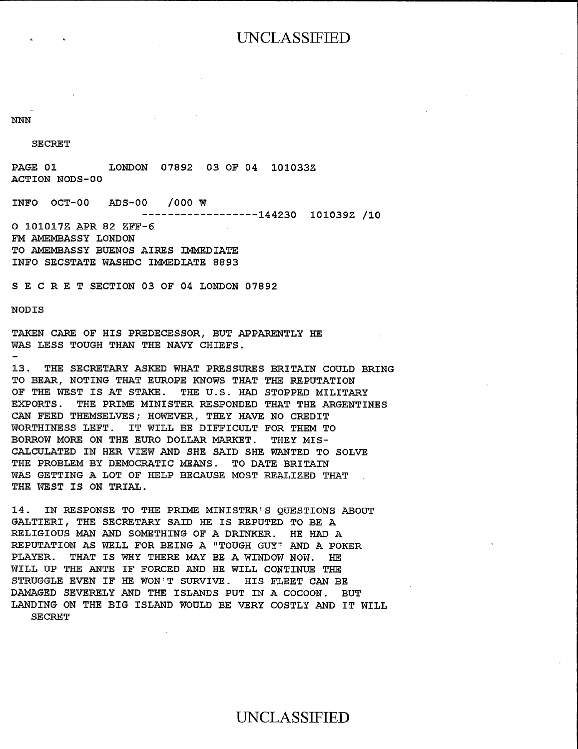### $T$  and  $T$  are strong and  $T$  and  $T$  are strong and  $T$  and  $T$  are strong and  $T$  and  $T$  are strong and  $T$

 $S_{\rm{S}}$  SECRET  $\sim$ 

SE CRET NODIS

O 1010172 APR 82 ZFF-6 FM AMEMBASSY LONDON

TAKEN CARE OF HIS PREDICES AND CARE OF HIS PREDICES WAS UP TOUGH THAN THAN THAN THAN THE SALE ACTION NODS-00

INFO OCT-00 ADS-00 /000  $\overline{W}$ 

EXPORTS. THE PRIME MINISTER RESPONDED THAT THE ARGENTINES O 101017Z APR 82 ZFF-6

FM AMEMBASSY LONDON TO AMEMBASSY BUENOS AIRES IMMEDIATE INFO SECSTATE WASHDC IMMEDIATE 8893

WAS GETTLE BECAUSE OF A LOT OF GETTING BECAUSE MOST CAUSE OF A LOT OF HELP BECAUSE A LOT OF HELP BECAUSE A LOT THE WEST IS ON TRIAL.

WILL UP THE ANTE IF FORCED AND HE WILL CONTINUE THE WILL CONTINUE THAT AND HE WILL CONTINUE THE WILL CONTINUE

 $14.1$  In Response to the prime minister  $\mathbf{r}$ GALTIERI, THE SECRETARY SAID HE IS REPUTED TO BE A

TAKEN CARE OF HIS PREDECESSOR, BUT APPARENTLY WAS LESS TOUGH THAN THE NAVY CHIEFS.

13. THE SECRETARY ASKED WHAT PRESSURES BRITAIN COULD BRING TO BEAR, NOTING THAT EUROPE KNOWS THAT THE REPUTATION OF THE WEST IS AT STAKE. THE U.S. HAD STOPPED MILITARY EXPORTS. THE PRIME MINISTER RESPONDED THAT THE ARGENTINES CAN FEED THEMSELVES; HOWEVER, THEY HAVE NO CREDIT WORTHINESS LEFT. IT WILL BE DIFFICULT FOR THEM TO BORROW MORE ON THE EURO DOLLAR MARKET. THEY MIS-CALCULATED IN HER VIEW AND SHE SAID SHE WANTED TO SOLVE THE PROBLEM BY DEMOCRATIC MEANS. TO DATE BRITAIN WAS GETTING A LOT OF HELP BECAUSE MOST REALIZED THAT THE WEST IS ON TRIAL.

14. IN RESPONSE TO THE PRIME MINISTER'S QUESTIONS ABOUT GALTIERI, THE SECRETARY SAID HE IS REPUTED TO BE A RELIGIOUS MAN AND SOMETHING OF A DRINKER. HE HAD A REPUTATION AS WELL FOR BEING A "TOUGH GUY" AND A POKER PLAYER. THAT IS WHY THERE MAY BE A WINDOW NOW. HE WILL UP THE ANTE IF FORCED AND HE WILL CONTINUE THE STRUGGLE EVEN IF HE WON'T SURVIVE. HIS FLEET CAN BE DAMAGED SEVERELY AND THE ISLANDS PUT IN A COCOON. BUT LANDING ON THE BIG ISLAND WOULD BE VERY COSTLY AND IT WILL **SECRET**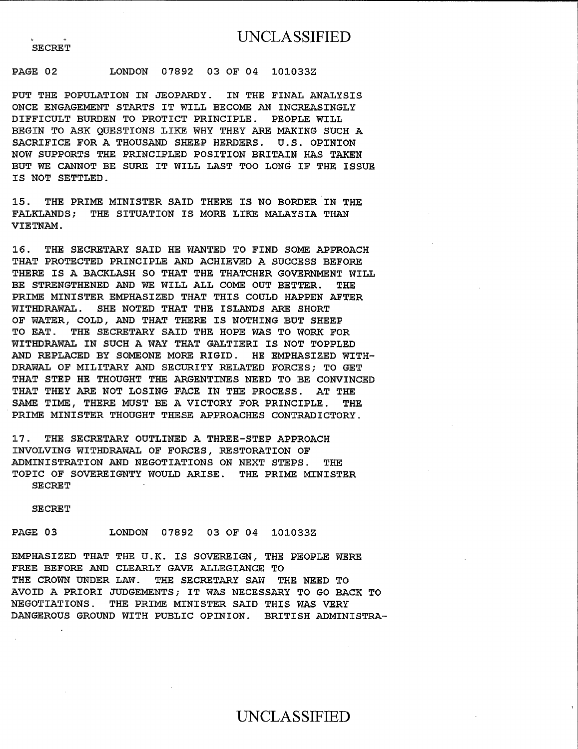$\alpha$  - 02  $\alpha$  - 03 of 04 101033232 03 OF 04 101033232 03 OF 04 101033232 03 OF 04 101033232 04 101033232 04 1010332 PUT THE POPULATION IN THE POPULATION IN JEOPARDY. IN THE FINAL ANALYSIS OF THE FINAL ANALYSIS OF THE FINAL ANALYSIS

### PAGE 02 LONDON 07892 03 OF 04

PUT THE POPULATION IN JEOPARDY. IN THE FINAL ANALYSIS ONCE ENGAGEMENT STARTS IT WILL BECOME AN INCREASINGLY DIFFICULT BURDEN TO PROTICT PRINCIPLE. PEOPLE WILL BEGIN TO ASK QUESTIONS LIKE WHY THEY ARE MAKING SUCH A SACRIFICE FOR A THOUSAND SHEEP HERDERS. U.S. OPINION NOW SUPPORTS THE PRINCIPLED POSITION BRITAIN HAS TAKEN סם הסת<br>המוחמות THE SECRETARY SAID HE SAID SOME ALL MIND HE WAS LOVE ON FIND SOME IS NOT SETTLED.

BE STREET AND THE STREET STRENGTHENE ALL COME OF STREET STRENGTHENE TO BE THE PRIME MINISTER. SAID THERE IS NO FALKLANDS; THE SITUATION IS MORE LIKE MALAYSIA THAN VIETNAM.

16. THE SECRETARY SAID HE WANTED TO FIND SOME APPROACH THAT PROTECTED PRINCIPLE AND ACHIEVED A SUCCESS BEFORE THERE IS A BACKLASH SO THAT THE THATCHER GOVERNMENT WILL BE STRENGTHENED AND WE WILL ALL COME OUT BETTER. THE PRIME MINISTER EMPHASIZED THAT THIS COULD HAPPEN AFTER WITHDRAWAL. SHE NOTED THAT THE ISLANDS ARE SHORT SAME GUNANG TIME TIME TIME A VICTORY FOR PRINCIPLE.<br>The Continuum and the principle and the principle. VE WATER, COLD, AND THAT THERE IS NOTHING BOT TO EAT. THE SECRETARY SAID THE HOPE WAS TO WORK FOR WITHDRAWAL IN SUCH A WAY THAT GALTIERI IS NOT TOPPLED AND REPLACED BY SOMEONE MORE RIGID. HE EMPHASIZED WITH-DRAWAL OF MILITARY AND SECURITY RELATED FORCES: TO GET THAT STEP HE THOUGHT THE ARGENTINES NEED TO BE CONVINCED THAT THEY ARE NOT LOSING FACE IN THE PROCESS. AT THE SAME TIME, THERE MUST BE A VICTORY FOR PRINCIPLE. THE PRIME MINISTER THOUGHT THESE APPROACHES CONTRADICTORY.

17. THE SECRETARY OUTLINED A THREE-STEP APPROACH AVOID A PRIORI JUDGEMENTS VOID A PRIMADO DINE AFFAVO<br>A PRIORITIVA IT DE BACA TO ACTANA ANGERESSITAT INVOIVING WIINDRAWAD OF FORCES, RESIORALI ADMINISTRATION AND NEGOTIATIONS ON NEXT STEPS. **THE** TOPIC OF SOVEREIGNTY WOULD ARISE. THE PRIME MINISTER<br>SECRET

**SECRET** 

#### PAGE 03 LONDON 07892 03 OF 04 101033Z

EMPHASIZED THAT THE U.K. IS SOVEREIGN, THE PEOPLE WERE FREE BEFORE AND CLEARLY GAVE ALLEGIANCE TO THE CROWN UNDER LAW. THE SECRETARY SAW THE NEED TO AVOID A PRIORI JUDGEMENTS; IT WAS NECESSARY TO GO BACK TO NEGOTIATIONS. THE PRIME MINISTER SAID THIS WAS VERY DANGEROUS GROUND WITH PUBLIC OPINION. BRITISH ADMINISTRA-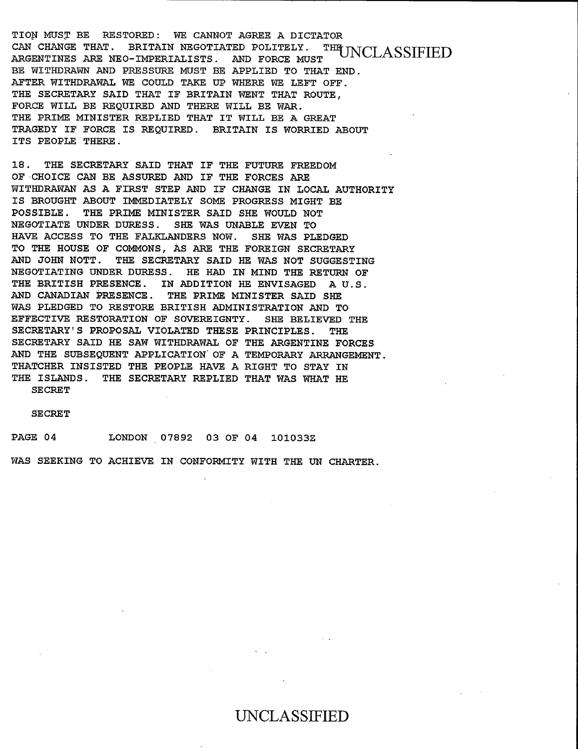TION MUST BE RESTORED: WE CANNOT AGREE A DICTATOR CAN CHANGE THAT. BRITAIN NEGOTIATED POLITELY. **THEUNCLASSIFIED** BE WITH WITH A READ AND AND AND PRESSURE MUST BE APPLICATE A READ AND A PRESSURE MUST BE APPLICATE A READ AND <br>A PARTITULE AND A READ AND A READ AND A PRODUCT AND A PRODUCT AND A READ AND A PRODUCT AND A READ AND A READ A ARGENTINES ARE NEU-IMPERIALISTS. AND FORCE. BE WITHDRAWN AND PRESSURE MUST BE APPLIED TO THAT END. AFTER WITHDRAWAL WE COULD TAKE UP WHERE WE LEFT OFF. THE SECRETARY SAID THAT IF BRITAIN WENT THAT ROUTE. FORCE WILL BE REQUIRED AND THERE WILL BE WAR. THE PRIME MINISTER REPLIED THAT IT WILL BE A GREAT TRAGEDY IF FORCE IS REQUIRED. BRITAIN IS WORRIED ABOUT ITS PEOPLE THERE.

18. THE SECRETARY SAID THAT IF THE FUTURE FREEDOM OF CHOICE CAN BE ASSURED AND IF THE FORCES ARE NEGOTIATE UNDER DURESSER DE SIN TE IND TOT MIIHDAAWAN AG A FIRSI SINF AND IF CHANGE IN<br>De Falklanders note the Single Single Was pleased IS BROUGHT ABOUT IMMEDIATELY SOME PROGRESS MIGHT BE POSSIBLE. THE PRIME MINISTER SAID SHE WOULD NOT<br>NEGOTIATE UNDER DURESS. SHE WAS UNABLE EVEN TO NEGOTIATE UNDER DURESS. HAVE ACCESS TO THE FALKLANDERS NOW. SHE WAS PLEDGED TO THE HOUSE OF COMMONS, AS ARE THE FOREIGN SECRETARY AND JOHN NOTT. THE SECRETARY SAID HE WAS NOT SUGGESTING NEGOTIATING UNDER DURESS. HE HAD IN MIND THE RETURN OF THE BRITISH PRESENCE. IN ADDITION HE ENVISAGED AU.S. AND CANADIAN PRESENCE. THE PRIME MINISTER SAID SHE WAS PLEDGED TO RESTORE BRITISH ADMINISTRATION AND TO EFFECTIVE RESTORATION OF SOVEREIGNTY. SHE BELIEVED THE THE ISLANDS THE SECRETARY REPLACED THE SECRETARY REPLACEMENT THE SECRETARY REPLACEMENT OF SECRETARY REPLACEMENT THE مدت<br>--- --SECRETARY SAID HE SAW WITHDRAWAL OF THE ARGENTINE FORCES AND THE SUBSEQUENT APPLICATION OF A TEMPORARY ARRANGEMENT. THATCHER INSISTED THE PEOPLE HAVE A RIGHT TO STAY IN THE ISLANDS. THE SECRETARY REPLIED THAT WAS WHAT HE **SECRET** 

**SECRET** 

PAGE 04 LONDON 07892 03 OF 04 101033Z

WAS SEEKING TO ACHIEVE IN CONFORMITY WITH THE UN CHARTER.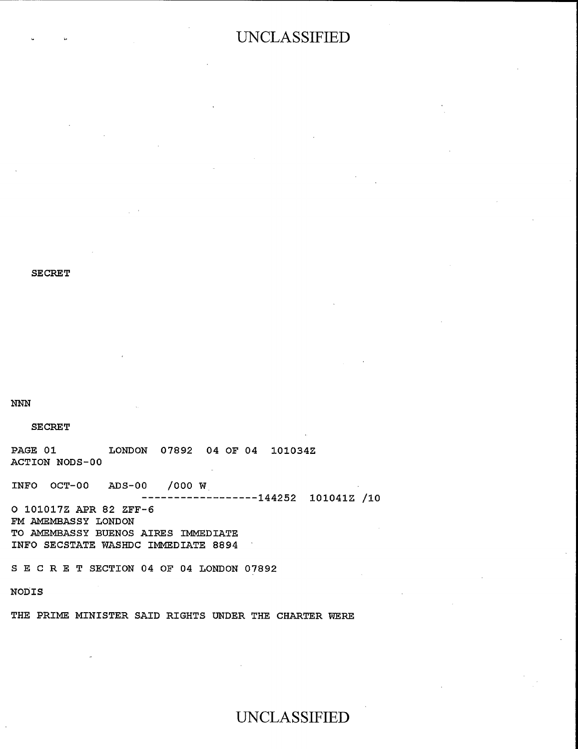**SECRET** 

TO AMEMBASSY BUENOS AIRES IMMEDIATE INFO SECSTATE WASHDC IMMEDIATE 8894 S E C R. E T SECTION 04 OF 04 LONDON 07892

THE PRIME MINISTER SAID RIGHTS UNDER THE CHARTER WERE

### **NNN**

### **SECRET**

PAGE 01 LONDON 07892 04 OF 04 101034Z ACTION NODS-00

INFO OCT-00  $ADS-00$ /000 W  $----144252$  101041Z /10 O 101017Z APR 82 ZFF-6

FM AMEMBASSY LONDON TO AMEMBASSY BUENOS AIRES IMMEDIATE INFO SECSTATE WASHDC IMMEDIATE 8894

SECRET SECTION 04 OF 04 LONDON 07892

### NODIS

THE PRIME MINISTER SAID RIGHTS UNDER THE CHARTER WERE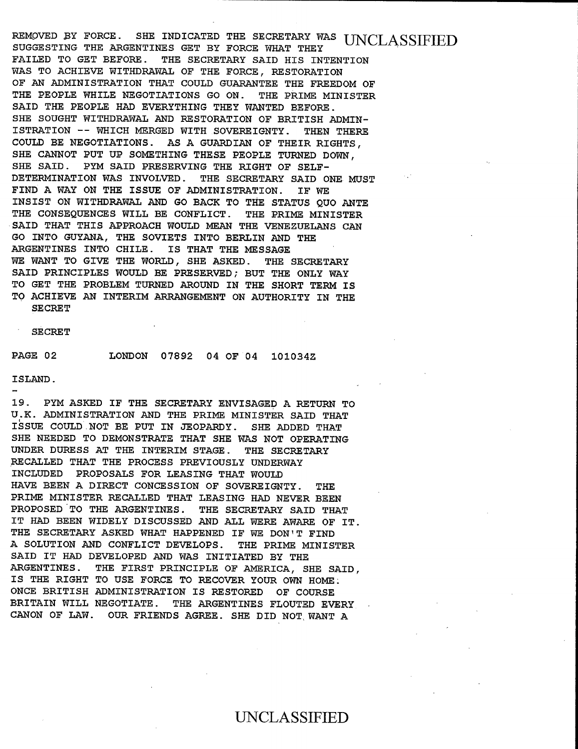SUGGESTING THE ARGENTINES GET BY FORCE WHAT THEY FAIRVAN AI LONGS. DHE INDICAIED INE DECKER<br>The Secretary Said History Said History Said SUGGESTING THE ARGENTINES GET BY FORCE WHAT THEY FAILED TO GET BEFORE. THE SECRETARY SAID HIS INTENTION WAS TO ACHIEVE WITHDRAWAL OF THE FORCE, RESTORATION OF AN ADMINISTRATION THAT COULD GUARANTEE THE FREEDOM OF THE PEOPLE WHILE NEGOTIATIONS GO ON. THE PRIME MINISTER SAID THE PEOPLE HAD EVERYTHING THEY WANTED BEFORE. SHE SOUGHT WITHDRAWAL AND RESTORATION OF BRITISH ADMIN-ISTRATION -- WHICH MERGED WITH SOVEREIGNTY. THEN THERE COULD BE NEGOTIATIONS. AS A GUARDIAN OF THEIR RIGHTS, SHE CANNOT PUT UP SOMETHING THESE PEOPLE TURNED DOWN, SHE SAID. PYM SAID PRESERVING THE RIGHT OF SELF-DINS DAID. IIN DAID FREGHAVING INS AFABLE OF STATUS OF AND AND AND ALGORITHMENT AND AND AND AND AND AND ANNOUN DEIENTINAIION WAS INVOLVED. THE SECRETARI FIND A WAY ON THE ISSUE OF ADMINISTRATION. IF WE INSIST ON WITHDRAWAL AND GO BACK TO THE STATUS QUO ANTE THE CONSEQUENCES WILL BE CONFLICT. THE PRIME MINISTER SAID THAT THIS APPROACH WOULD MEAN THE VENEZUELANS CAN GO INTO GUYANA, THE SOVIETS INTO BERLIN AND THE ARGENTINES INTO CHILE. IS THAT THE MESSAGE WE WANT TO GIVE THE WORLD, SHE ASKED. THE SECRETARY SAID PRINCIPLES WOULD BE PRESERVED; BUT THE ONLY WAY TO GET THE PROBLEM TURNED AROUND IN THE SHORT TERM IS PAGE 02 LONDON 07892 04 OF 04 1010342 ISLAND.<br>ISLA  $\frac{1}{2}$ 

 $R_{\rm eff}$  Force. She indicated the secretary was uncertainty was uncertainty was uncertainty was uncertainty was uncertainty was uncertainty was uncertainty was uncertainty was uncertainty was uncertainty was uncertainty w

U.K. ADMINISTRATION AND THE PRIME MINISTER SAID THAT ISSUE COULD.NOT BE PUT IN JEOPARDY.

UNDER DURESS AT THE INTERIM STAGE. THE SECRETARY

HAVE BEEN A DIRECT CONCESSION OF SOVEREIGNTY. THE

ISLAND.

19. PYM ASKED IF THE SECRETARY ENVISAGED A RETURN TO U.K. ADMINISTRATION AND THE PRIME MINISTER SAID THAT ISSUE COULD NOT BE PUT IN JEOPARDY. SHE ADDED THAT SHE NEEDED TO DEMONSTRATE THAT SHE WAS NOT OPERATING UNDER DURESS AT THE INTERIM STAGE. THE SECRETARY SAID DOGGOO AL IND INIERIN SIAGE. I<br>DIGATTED WILD WAS DRAGUE DOGGOOG ARGANDED INAI INE FROGESS FREVIOUSLY ONDE INCLUDED PROPOSALS FOR LEASING THAT WOULD HAVE BEEN A DIRECT CONCESSION OF SOVEREIGNTY. THE PRIME MINISTER RECALLED THAT LEASING HAD NEVER BEEN PROPOSED TO THE ARGENTINES. THE SECRETARY SAID THAT IT HAD BEEN WIDELY DISCUSSED AND ALL WERE AWARE OF IT. THE SECRETARY ASKED WHAT HAPPENED IF WE DON'T FIND A SOLUTION AND CONFLICT DEVELOPS. THE PRIME MINISTER SAID IT HAD DEVELOPED AND WAS INITIATED BY THE ARGENTINES. THE FIRST PRINCIPLE OF AMERICA, SHE SAID, IS THE RIGHT TO USE FORCE TO RECOVER YOUR OWN HOME. ONCE BRITISH ADMINISTRATION IS RESTORED OF COURSE BRITAIN WILL NEGOTIATE. THE ARGENTINES FLOUTED EVERY CANON OF LAW. OUR FRIENDS AGREE. SHE DID NOT WANT A